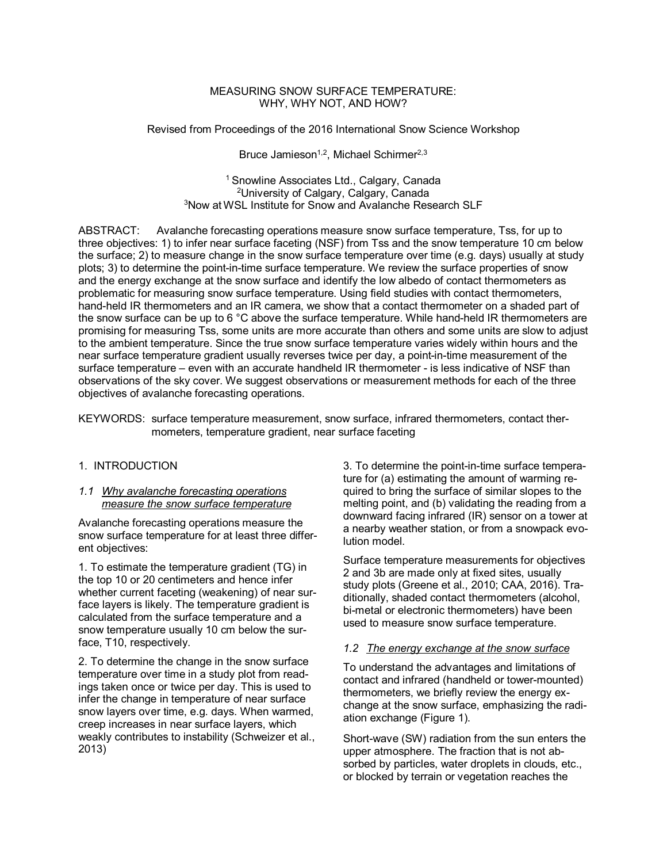## MEASURING SNOW SURFACE TEMPERATURE: WHY, WHY NOT, AND HOW?

Revised from Proceedings of the 2016 International Snow Science Workshop

Bruce Jamieson<sup>1,2</sup>, Michael Schirmer<sup>2,3</sup>

<sup>1</sup> Snowline Associates Ltd., Calgary, Canada <sup>2</sup>University of Calgary, Calgary, Canada <sup>3</sup>Now at WSL Institute for Snow and Avalanche Research SLF

ABSTRACT: Avalanche forecasting operations measure snow surface temperature, Tss, for up to three objectives: 1) to infer near surface faceting (NSF) from Tss and the snow temperature 10 cm below the surface; 2) to measure change in the snow surface temperature over time (e.g. days) usually at study plots; 3) to determine the point-in-time surface temperature. We review the surface properties of snow and the energy exchange at the snow surface and identify the low albedo of contact thermometers as problematic for measuring snow surface temperature. Using field studies with contact thermometers, hand-held IR thermometers and an IR camera, we show that a contact thermometer on a shaded part of the snow surface can be up to 6 °C above the surface temperature. While hand-held IR thermometers are promising for measuring Tss, some units are more accurate than others and some units are slow to adjust to the ambient temperature. Since the true snow surface temperature varies widely within hours and the near surface temperature gradient usually reverses twice per day, a point-in-time measurement of the surface temperature – even with an accurate handheld IR thermometer - is less indicative of NSF than observations of the sky cover. We suggest observations or measurement methods for each of the three objectives of avalanche forecasting operations.

KEYWORDS: surface temperature measurement, snow surface, infrared thermometers, contact thermometers, temperature gradient, near surface faceting

## 1. INTRODUCTION

### *1.1 Why avalanche forecasting operations measure the snow surface temperature*

Avalanche forecasting operations measure the snow surface temperature for at least three different objectives:

1. To estimate the temperature gradient (TG) in the top 10 or 20 centimeters and hence infer whether current faceting (weakening) of near surface layers is likely. The temperature gradient is calculated from the surface temperature and a snow temperature usually 10 cm below the surface, T10, respectively.

2. To determine the change in the snow surface temperature over time in a study plot from readings taken once or twice per day. This is used to infer the change in temperature of near surface snow layers over time, e.g. days. When warmed, creep increases in near surface layers, which weakly contributes to instability (Schweizer et al., 2013)

3. To determine the point-in-time surface temperature for (a) estimating the amount of warming required to bring the surface of similar slopes to the melting point, and (b) validating the reading from a downward facing infrared (IR) sensor on a tower at a nearby weather station, or from a snowpack evolution model.

Surface temperature measurements for objectives 2 and 3b are made only at fixed sites, usually study plots (Greene et al., 2010; CAA, 2016). Traditionally, shaded contact thermometers (alcohol, bi-metal or electronic thermometers) have been used to measure snow surface temperature.

## *1.2 The energy exchange at the snow surface*

To understand the advantages and limitations of contact and infrared (handheld or tower-mounted) thermometers, we briefly review the energy exchange at the snow surface, emphasizing the radiation exchange (Figure 1).

Short-wave (SW) radiation from the sun enters the upper atmosphere. The fraction that is not absorbed by particles, water droplets in clouds, etc., or blocked by terrain or vegetation reaches the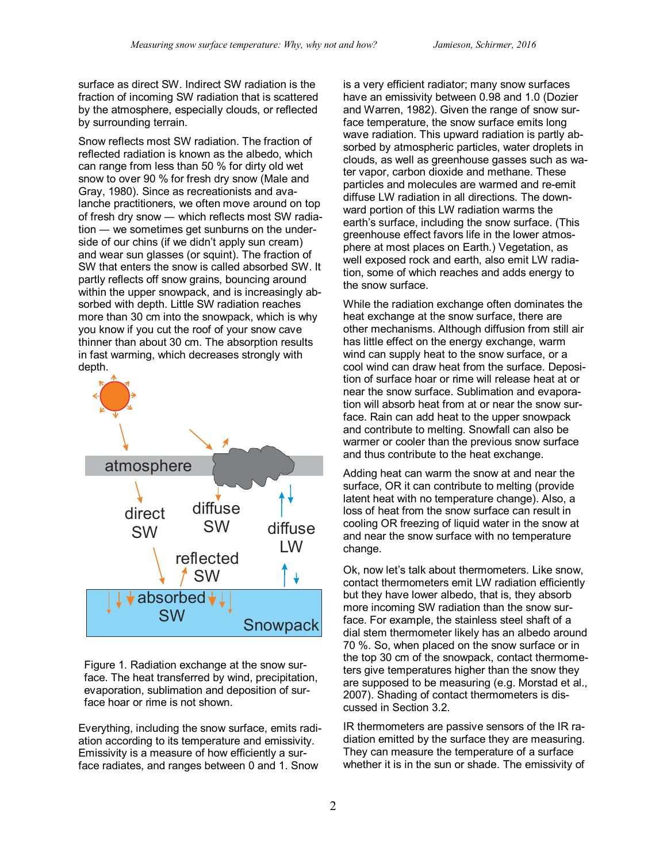surface as direct SW. Indirect SW radiation is the fraction of incoming SW radiation that is scattered by the atmosphere, especially clouds, or reflected by surrounding terrain.

Snow reflects most SW radiation. The fraction of reflected radiation is known as the albedo, which can range from less than 50 % for dirty old wet snow to over 90 % for fresh dry snow (Male and Gray, 1980). Since as recreationists and avalanche practitioners, we often move around on top of fresh dry snow — which reflects most SW radiation — we sometimes get sunburns on the underside of our chins (if we didn't apply sun cream) and wear sun glasses (or squint). The fraction of SW that enters the snow is called absorbed SW. It partly reflects off snow grains, bouncing around within the upper snowpack, and is increasingly absorbed with depth. Little SW radiation reaches more than 30 cm into the snowpack, which is why you know if you cut the roof of your snow cave thinner than about 30 cm. The absorption results in fast warming, which decreases strongly with depth.



Figure 1. Radiation exchange at the snow surface. The heat transferred by wind, precipitation, evaporation, sublimation and deposition of surface hoar or rime is not shown.

Everything, including the snow surface, emits radiation according to its temperature and emissivity. Emissivity is a measure of how efficiently a surface radiates, and ranges between 0 and 1. Snow

is a very efficient radiator; many snow surfaces have an emissivity between 0.98 and 1.0 (Dozier and Warren, 1982). Given the range of snow surface temperature, the snow surface emits long wave radiation. This upward radiation is partly absorbed by atmospheric particles, water droplets in clouds, as well as greenhouse gasses such as water vapor, carbon dioxide and methane. These particles and molecules are warmed and re-emit diffuse LW radiation in all directions. The downward portion of this LW radiation warms the earth's surface, including the snow surface. (This greenhouse effect favors life in the lower atmosphere at most places on Earth.) Vegetation, as well exposed rock and earth, also emit LW radiation, some of which reaches and adds energy to the snow surface.

While the radiation exchange often dominates the heat exchange at the snow surface, there are other mechanisms. Although diffusion from still air has little effect on the energy exchange, warm wind can supply heat to the snow surface, or a cool wind can draw heat from the surface. Deposition of surface hoar or rime will release heat at or near the snow surface. Sublimation and evaporation will absorb heat from at or near the snow surface. Rain can add heat to the upper snowpack and contribute to melting. Snowfall can also be warmer or cooler than the previous snow surface and thus contribute to the heat exchange.

Adding heat can warm the snow at and near the surface, OR it can contribute to melting (provide latent heat with no temperature change). Also, a loss of heat from the snow surface can result in cooling OR freezing of liquid water in the snow at and near the snow surface with no temperature change.

Ok, now let's talk about thermometers. Like snow, contact thermometers emit LW radiation efficiently but they have lower albedo, that is, they absorb more incoming SW radiation than the snow surface. For example, the stainless steel shaft of a dial stem thermometer likely has an albedo around 70 %. So, when placed on the snow surface or in the top 30 cm of the snowpack, contact thermometers give temperatures higher than the snow they are supposed to be measuring (e.g. Morstad et al., 2007). Shading of contact thermometers is discussed in Section 3.2.

IR thermometers are passive sensors of the IR radiation emitted by the surface they are measuring. They can measure the temperature of a surface whether it is in the sun or shade. The emissivity of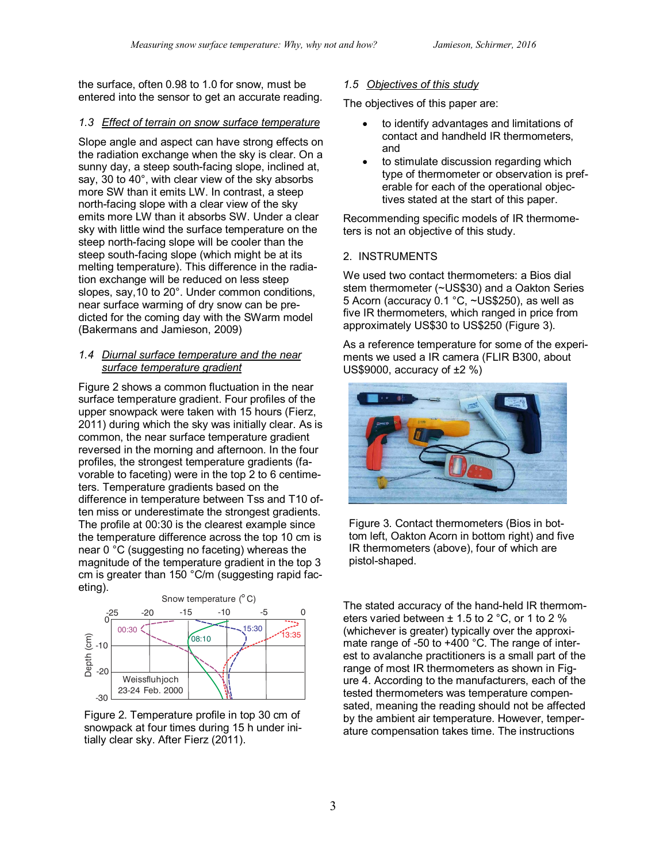the surface, often 0.98 to 1.0 for snow, must be entered into the sensor to get an accurate reading.

# *1.3 Effect of terrain on snow surface temperature*

Slope angle and aspect can have strong effects on the radiation exchange when the sky is clear. On a sunny day, a steep south-facing slope, inclined at, say, 30 to 40°, with clear view of the sky absorbs more SW than it emits LW. In contrast, a steep north-facing slope with a clear view of the sky emits more LW than it absorbs SW. Under a clear sky with little wind the surface temperature on the steep north-facing slope will be cooler than the steep south-facing slope (which might be at its melting temperature). This difference in the radiation exchange will be reduced on less steep slopes, say,10 to 20°. Under common conditions, near surface warming of dry snow can be predicted for the coming day with the SWarm model (Bakermans and Jamieson, 2009)

## *1.4 Diurnal surface temperature and the near surface temperature gradient*

Figure 2 shows a common fluctuation in the near surface temperature gradient. Four profiles of the upper snowpack were taken with 15 hours (Fierz, 2011) during which the sky was initially clear. As is common, the near surface temperature gradient reversed in the morning and afternoon. In the four profiles, the strongest temperature gradients (favorable to faceting) were in the top 2 to 6 centimeters. Temperature gradients based on the difference in temperature between Tss and T10 often miss or underestimate the strongest gradients. The profile at 00:30 is the clearest example since the temperature difference across the top 10 cm is near 0 °C (suggesting no faceting) whereas the magnitude of the temperature gradient in the top 3 cm is greater than 150 °C/m (suggesting rapid faceting).



Figure 2. Temperature profile in top 30 cm of snowpack at four times during 15 h under initially clear sky. After Fierz (2011).

# *1.5 Objectives of this study*

The objectives of this paper are:

- to identify advantages and limitations of contact and handheld IR thermometers, and
- to stimulate discussion regarding which type of thermometer or observation is preferable for each of the operational objectives stated at the start of this paper.

Recommending specific models of IR thermometers is not an objective of this study.

# 2. INSTRUMENTS

We used two contact thermometers: a Bios dial stem thermometer (~US\$30) and a Oakton Series 5 Acorn (accuracy 0.1 °C, ~US\$250), as well as five IR thermometers, which ranged in price from approximately US\$30 to US\$250 (Figure 3).

As a reference temperature for some of the experiments we used a IR camera (FLIR B300, about US\$9000, accuracy of  $\pm 2$  %)



Figure 3. Contact thermometers (Bios in bottom left, Oakton Acorn in bottom right) and five IR thermometers (above), four of which are pistol-shaped.

The stated accuracy of the hand-held IR thermometers varied between ± 1.5 to 2 °C, or 1 to 2 % (whichever is greater) typically over the approximate range of -50 to +400 °C. The range of interest to avalanche practitioners is a small part of the range of most IR thermometers as shown in Figure 4. According to the manufacturers, each of the tested thermometers was temperature compensated, meaning the reading should not be affected by the ambient air temperature. However, temperature compensation takes time. The instructions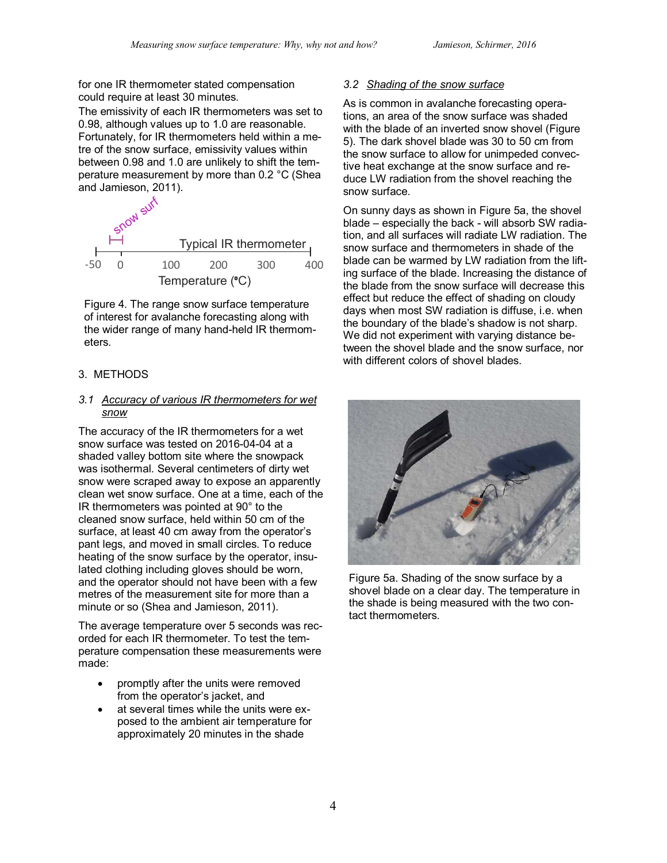for one IR thermometer stated compensation could require at least 30 minutes.

The emissivity of each IR thermometers was set to 0.98, although values up to 1.0 are reasonable. Fortunately, for IR thermometers held within a metre of the snow surface, emissivity values within between 0.98 and 1.0 are unlikely to shift the temperature measurement by more than 0.2 °C (Shea and Jamieson, 2011).



Figure 4. The range snow surface temperature of interest for avalanche forecasting along with the wider range of many hand-held IR thermometers.

# 3. METHODS

## *3.1 Accuracy of various IR thermometers for wet snow*

The accuracy of the IR thermometers for a wet snow surface was tested on 2016-04-04 at a shaded valley bottom site where the snowpack was isothermal. Several centimeters of dirty wet snow were scraped away to expose an apparently clean wet snow surface. One at a time, each of the IR thermometers was pointed at 90° to the cleaned snow surface, held within 50 cm of the surface, at least 40 cm away from the operator's pant legs, and moved in small circles. To reduce heating of the snow surface by the operator, insulated clothing including gloves should be worn, and the operator should not have been with a few metres of the measurement site for more than a minute or so (Shea and Jamieson, 2011).

The average temperature over 5 seconds was recorded for each IR thermometer. To test the temperature compensation these measurements were made:

- promptly after the units were removed from the operator's jacket, and
- at several times while the units were exposed to the ambient air temperature for approximately 20 minutes in the shade

# *3.2 Shading of the snow surface*

As is common in avalanche forecasting operations, an area of the snow surface was shaded with the blade of an inverted snow shovel (Figure 5). The dark shovel blade was 30 to 50 cm from the snow surface to allow for unimpeded convective heat exchange at the snow surface and reduce LW radiation from the shovel reaching the snow surface.

On sunny days as shown in Figure 5a, the shovel blade – especially the back - will absorb SW radiation, and all surfaces will radiate LW radiation. The snow surface and thermometers in shade of the blade can be warmed by LW radiation from the lifting surface of the blade. Increasing the distance of the blade from the snow surface will decrease this effect but reduce the effect of shading on cloudy days when most SW radiation is diffuse, i.e. when the boundary of the blade's shadow is not sharp. We did not experiment with varying distance between the shovel blade and the snow surface, nor with different colors of shovel blades.



Figure 5a. Shading of the snow surface by a shovel blade on a clear day. The temperature in the shade is being measured with the two contact thermometers.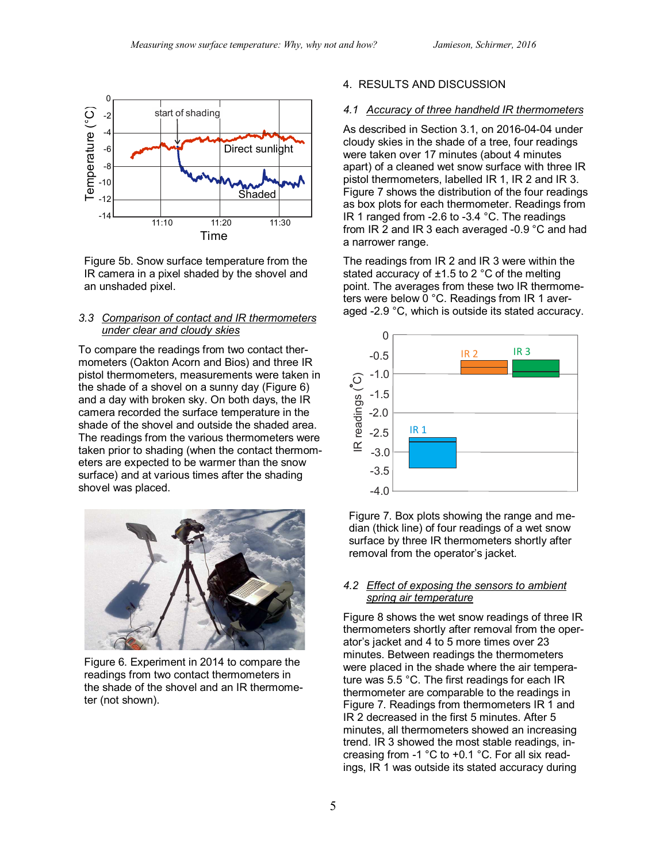

Figure 5b. Snow surface temperature from the IR camera in a pixel shaded by the shovel and an unshaded pixel.

### *3.3 Comparison of contact and IR thermometers under clear and cloudy skies*

To compare the readings from two contact thermometers (Oakton Acorn and Bios) and three IR pistol thermometers, measurements were taken in the shade of a shovel on a sunny day (Figure 6) and a day with broken sky. On both days, the IR camera recorded the surface temperature in the shade of the shovel and outside the shaded area. The readings from the various thermometers were taken prior to shading (when the contact thermometers are expected to be warmer than the snow surface) and at various times after the shading shovel was placed.



Figure 6. Experiment in 2014 to compare the readings from two contact thermometers in the shade of the shovel and an IR thermometer (not shown).

## 4. RESULTS AND DISCUSSION

### *4.1 Accuracy of three handheld IR thermometers*

As described in Section 3.1, on 2016-04-04 under cloudy skies in the shade of a tree, four readings were taken over 17 minutes (about 4 minutes apart) of a cleaned wet snow surface with three IR pistol thermometers, labelled IR 1, IR 2 and IR 3. Figure 7 shows the distribution of the four readings as box plots for each thermometer. Readings from IR 1 ranged from -2.6 to -3.4 °C. The readings from IR 2 and IR 3 each averaged -0.9 °C and had a narrower range.

The readings from IR 2 and IR 3 were within the stated accuracy of  $\pm$ 1.5 to 2 °C of the melting point. The averages from these two IR thermometers were below 0 °C. Readings from IR 1 averaged -2.9 °C, which is outside its stated accuracy.



Figure 7. Box plots showing the range and median (thick line) of four readings of a wet snow surface by three IR thermometers shortly after removal from the operator's jacket.

### *4.2 Effect of exposing the sensors to ambient spring air temperature*

Figure 8 shows the wet snow readings of three IR thermometers shortly after removal from the operator's jacket and 4 to 5 more times over 23 minutes. Between readings the thermometers were placed in the shade where the air temperature was 5.5 °C. The first readings for each IR thermometer are comparable to the readings in Figure 7. Readings from thermometers IR 1 and IR 2 decreased in the first 5 minutes. After 5 minutes, all thermometers showed an increasing trend. IR 3 showed the most stable readings, increasing from -1 °C to +0.1 °C. For all six readings, IR 1 was outside its stated accuracy during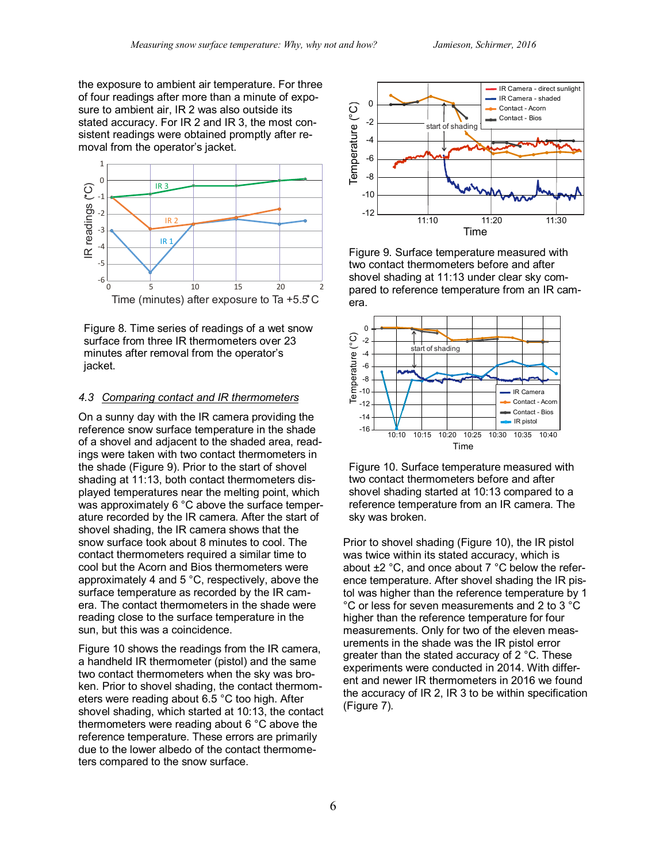the exposure to ambient air temperature. For three of four readings after more than a minute of exposure to ambient air, IR 2 was also outside its stated accuracy. For IR 2 and IR 3, the most consistent readings were obtained promptly after removal from the operator's jacket.



Figure 8. Time series of readings of a wet snow surface from three IR thermometers over 23 minutes after removal from the operator's jacket.

### *4.3 Comparing contact and IR thermometers*

On a sunny day with the IR camera providing the reference snow surface temperature in the shade of a shovel and adjacent to the shaded area, readings were taken with two contact thermometers in the shade (Figure 9). Prior to the start of shovel shading at 11:13, both contact thermometers displayed temperatures near the melting point, which was approximately 6 °C above the surface temperature recorded by the IR camera. After the start of shovel shading, the IR camera shows that the snow surface took about 8 minutes to cool. The contact thermometers required a similar time to cool but the Acorn and Bios thermometers were approximately 4 and 5 °C, respectively, above the surface temperature as recorded by the IR camera. The contact thermometers in the shade were reading close to the surface temperature in the sun, but this was a coincidence.

Figure 10 shows the readings from the IR camera, a handheld IR thermometer (pistol) and the same two contact thermometers when the sky was broken. Prior to shovel shading, the contact thermometers were reading about 6.5 °C too high. After shovel shading, which started at 10:13, the contact thermometers were reading about 6 °C above the reference temperature. These errors are primarily due to the lower albedo of the contact thermometers compared to the snow surface.



Figure 9. Surface temperature measured with two contact thermometers before and after shovel shading at 11:13 under clear sky compared to reference temperature from an IR camera.



Figure 10. Surface temperature measured with two contact thermometers before and after shovel shading started at 10:13 compared to a reference temperature from an IR camera. The sky was broken.

Prior to shovel shading (Figure 10), the IR pistol was twice within its stated accuracy, which is about ±2 °C, and once about 7 °C below the reference temperature. After shovel shading the IR pistol was higher than the reference temperature by 1 °C or less for seven measurements and 2 to 3 °C higher than the reference temperature for four measurements. Only for two of the eleven measurements in the shade was the IR pistol error greater than the stated accuracy of 2 °C. These experiments were conducted in 2014. With different and newer IR thermometers in 2016 we found the accuracy of IR 2, IR 3 to be within specification (Figure 7).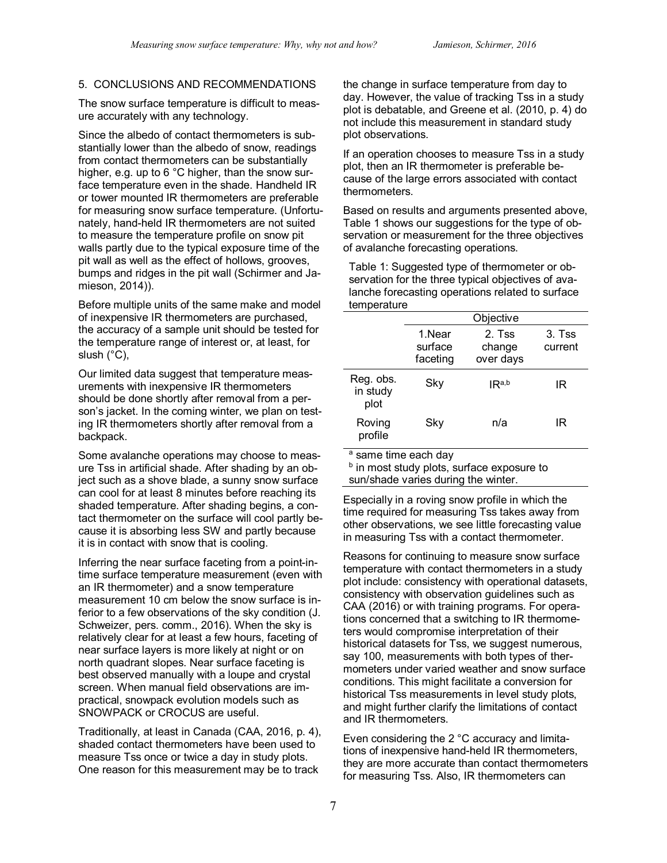# 5. CONCLUSIONS AND RECOMMENDATIONS

The snow surface temperature is difficult to measure accurately with any technology.

Since the albedo of contact thermometers is substantially lower than the albedo of snow, readings from contact thermometers can be substantially higher, e.g. up to 6 °C higher, than the snow surface temperature even in the shade. Handheld IR or tower mounted IR thermometers are preferable for measuring snow surface temperature. (Unfortunately, hand-held IR thermometers are not suited to measure the temperature profile on snow pit walls partly due to the typical exposure time of the pit wall as well as the effect of hollows, grooves, bumps and ridges in the pit wall (Schirmer and Jamieson, 2014)).

Before multiple units of the same make and model of inexpensive IR thermometers are purchased, the accuracy of a sample unit should be tested for the temperature range of interest or, at least, for slush (°C),

Our limited data suggest that temperature measurements with inexpensive IR thermometers should be done shortly after removal from a person's jacket. In the coming winter, we plan on testing IR thermometers shortly after removal from a backpack.

Some avalanche operations may choose to measure Tss in artificial shade. After shading by an object such as a shove blade, a sunny snow surface can cool for at least 8 minutes before reaching its shaded temperature. After shading begins, a contact thermometer on the surface will cool partly because it is absorbing less SW and partly because it is in contact with snow that is cooling.

Inferring the near surface faceting from a point-intime surface temperature measurement (even with an IR thermometer) and a snow temperature measurement 10 cm below the snow surface is inferior to a few observations of the sky condition (J. Schweizer, pers. comm., 2016). When the sky is relatively clear for at least a few hours, faceting of near surface layers is more likely at night or on north quadrant slopes. Near surface faceting is best observed manually with a loupe and crystal screen. When manual field observations are impractical, snowpack evolution models such as SNOWPACK or CROCUS are useful.

Traditionally, at least in Canada (CAA, 2016, p. 4), shaded contact thermometers have been used to measure Tss once or twice a day in study plots. One reason for this measurement may be to track

the change in surface temperature from day to day. However, the value of tracking Tss in a study plot is debatable, and Greene et al. (2010, p. 4) do not include this measurement in standard study plot observations.

If an operation chooses to measure Tss in a study plot, then an IR thermometer is preferable because of the large errors associated with contact thermometers.

Based on results and arguments presented above, Table 1 shows our suggestions for the type of observation or measurement for the three objectives of avalanche forecasting operations.

Table 1: Suggested type of thermometer or observation for the three typical objectives of avalanche forecasting operations related to surface temperature

|                               | Objective                     |                               |                     |
|-------------------------------|-------------------------------|-------------------------------|---------------------|
|                               | 1.Near<br>surface<br>faceting | 2. Tss<br>change<br>over days | $3.$ Tss<br>current |
| Reg. obs.<br>in study<br>plot | Sky                           | IR <sup>a,b</sup>             | IR                  |
| Roving<br>profile             | Sky                           | n/a                           | IR                  |

a same time each day

**b** in most study plots, surface exposure to sun/shade varies during the winter.

Especially in a roving snow profile in which the time required for measuring Tss takes away from other observations, we see little forecasting value in measuring Tss with a contact thermometer.

Reasons for continuing to measure snow surface temperature with contact thermometers in a study plot include: consistency with operational datasets, consistency with observation guidelines such as CAA (2016) or with training programs. For operations concerned that a switching to IR thermometers would compromise interpretation of their historical datasets for Tss, we suggest numerous, say 100, measurements with both types of thermometers under varied weather and snow surface conditions. This might facilitate a conversion for historical Tss measurements in level study plots, and might further clarify the limitations of contact and IR thermometers.

Even considering the 2 °C accuracy and limitations of inexpensive hand-held IR thermometers, they are more accurate than contact thermometers for measuring Tss. Also, IR thermometers can